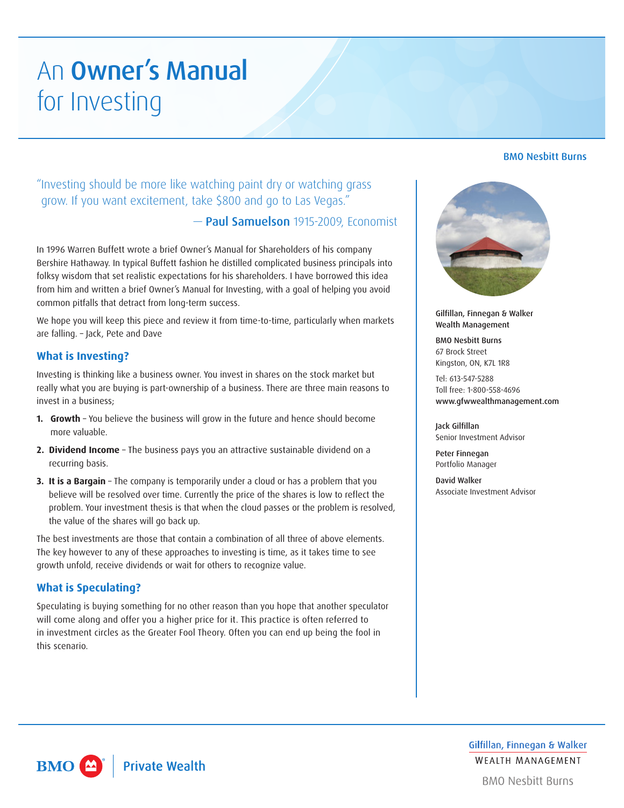# An Owner's Manual for Investing

BMO Nesbitt Burns

# "Investing should be more like watching paint dry or watching grass grow. If you want excitement, take \$800 and go to Las Vegas."

# — Paul Samuelson 1915-2009, Economist

In 1996 Warren Buffett wrote a brief Owner's Manual for Shareholders of his company Bershire Hathaway. In typical Buffett fashion he distilled complicated business principals into folksy wisdom that set realistic expectations for his shareholders. I have borrowed this idea from him and written a brief Owner's Manual for Investing, with a goal of helping you avoid common pitfalls that detract from long-term success.

We hope you will keep this piece and review it from time-to-time, particularly when markets are falling. – Jack, Pete and Dave

# **What is Investing?**

Investing is thinking like a business owner. You invest in shares on the stock market but really what you are buying is part-ownership of a business. There are three main reasons to invest in a business;

- **1. Growth** You believe the business will grow in the future and hence should become more valuable.
- **2. Dividend Income** The business pays you an attractive sustainable dividend on a recurring basis.
- **3. It is a Bargain** The company is temporarily under a cloud or has a problem that you believe will be resolved over time. Currently the price of the shares is low to reflect the problem. Your investment thesis is that when the cloud passes or the problem is resolved, the value of the shares will go back up.

The best investments are those that contain a combination of all three of above elements. The key however to any of these approaches to investing is time, as it takes time to see growth unfold, receive dividends or wait for others to recognize value.

### **What is Speculating?**

Speculating is buying something for no other reason than you hope that another speculator will come along and offer you a higher price for it. This practice is often referred to in investment circles as the Greater Fool Theory. Often you can end up being the fool in this scenario.



Gilfillan, Finnegan & Walker Wealth Management

BMO Nesbitt Burns 67 Brock Street Kingston, ON, K7L 1R8

Tel: 613-547-5288 Toll free: 1-800-558-4696 www.gfwwealthmanagement.com

Jack Gilfillan Senior Investment Advisor

Peter Finnegan Portfolio Manager

David Walker Associate Investment Advisor

**BMO Private Wealth**  $\blacktriangle$ 

Gilfillan, Finnegan & Walker **WFAITH MANAGEMENT** 

**BMO Nesbitt Burns**